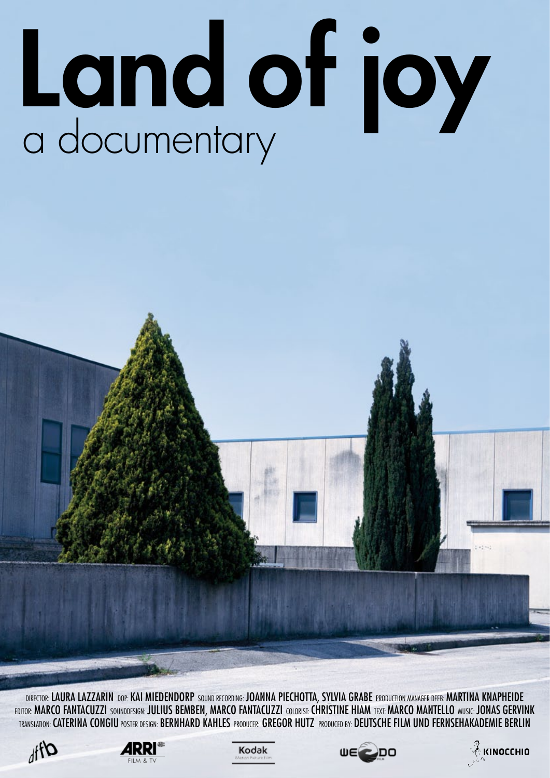# Land of joy

DIRECTOR: LAURA LAZZARIN DOP: KAI MIEDENDORP SOUND RECORDING: JOANNA PIECHOTTA, SYLVIA GRABE PRODUCTION MANAGER DFFB: MARTINA KNAPHEIDE EDITOR: MARCO FANTACUZZI SOUNDDESIGN: JULIUS BEMBEN, MARCO FANTACUZZI COLORIST: CHRISTINE HIAM TEXT: MARCO MANTELLO MUSIC: JONAS GERVINK Translation: Caterina Congiu Poster design: Bernhard Kahles Producer: Gregor Hutz Produced by: Deutsche Film und Fernsehakademie Berlin









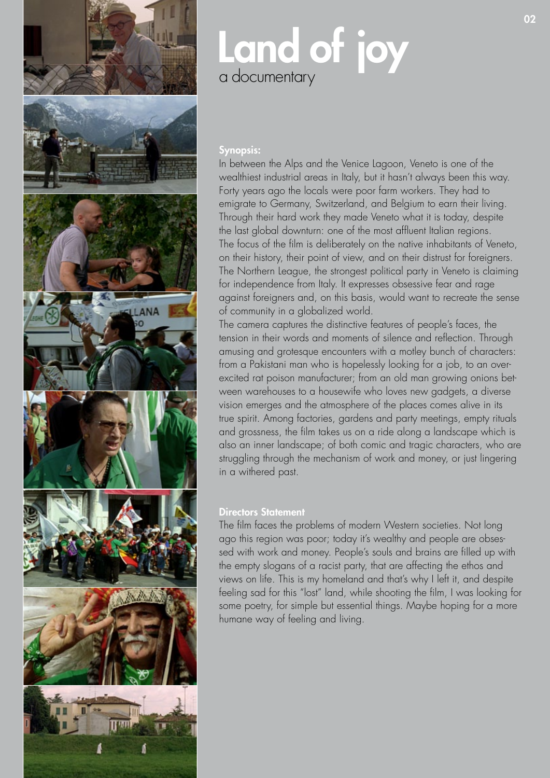

# Land of joy a documentary

### Synopsis:

In between the Alps and the Venice Lagoon, Veneto is one of the wealthiest industrial areas in Italy, but it hasn't always been this way. Forty years ago the locals were poor farm workers. They had to emigrate to Germany, Switzerland, and Belgium to earn their living. Through their hard work they made Veneto what it is today, despite the last global downturn: one of the most affluent Italian regions. The focus of the film is deliberately on the native inhabitants of Veneto, on their history, their point of view, and on their distrust for foreigners. The Northern League, the strongest political party in Veneto is claiming for independence from Italy. It expresses obsessive fear and rage against foreigners and, on this basis, would want to recreate the sense of community in a globalized world.

The camera captures the distinctive features of people's faces, the tension in their words and moments of silence and reflection. Through amusing and grotesque encounters with a motley bunch of characters: from a Pakistani man who is hopelessly looking for a job, to an overexcited rat poison manufacturer; from an old man growing onions between warehouses to a housewife who loves new gadgets, a diverse vision emerges and the atmosphere of the places comes alive in its true spirit. Among factories, gardens and party meetings, empty rituals and grossness, the film takes us on a ride along a landscape which is also an inner landscape; of both comic and tragic characters, who are struggling through the mechanism of work and money, or just lingering in a withered past.

### Directors Statement

The film faces the problems of modern Western societies. Not long ago this region was poor; today it's wealthy and people are obsessed with work and money. People's souls and brains are filled up with the empty slogans of a racist party, that are affecting the ethos and views on life. This is my homeland and that's why I left it, and despite feeling sad for this "lost" land, while shooting the film, I was looking for some poetry, for simple but essential things. Maybe hoping for a more humane way of feeling and living.